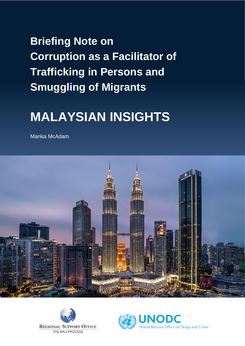# **Briefing Note on Corruption as a Facilitator of Trafficking in Persons and Smuggling of Migrants**

# **MALAYSIAN INSIGHTS**

Marika McAdam





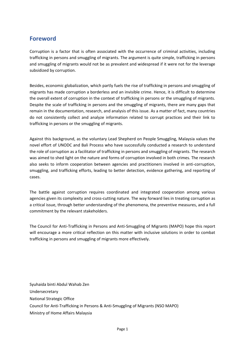# **Foreword**

Corruption is a factor that is often associated with the occurrence of criminal activities, including trafficking in persons and smuggling of migrants. The argument is quite simple, trafficking in persons and smuggling of migrants would not be as prevalent and widespread if it were not for the leverage subsidized by corruption.

Besides, economic globalization, which partly fuels the rise of trafficking in persons and smuggling of migrants has made corruption a borderless and an invisible crime. Hence, it is difficult to determine the overall extent of corruption in the context of trafficking in persons or the smuggling of migrants. Despite the scale of trafficking in persons and the smuggling of migrants, there are many gaps that remain in the documentation, research, and analysis of this issue. As a matter of fact, many countries do not consistently collect and analyze information related to corrupt practices and their link to trafficking in persons or the smuggling of migrants.

Against this background, as the voluntary Lead Shepherd on People Smuggling, Malaysia values the novel effort of UNODC and Bali Process who have successfully conducted a research to understand the role of corruption as a facilitator of trafficking in persons and smuggling of migrants. The research was aimed to shed light on the nature and forms of corruption involved in both crimes. The research also seeks to inform cooperation between agencies and practitioners involved in anti-corruption, smuggling, and trafficking efforts, leading to better detection, evidence gathering, and reporting of cases.

The battle against corruption requires coordinated and integrated cooperation among various agencies given its complexity and cross-cutting nature. The way forward lies in treating corruption as a critical issue, through better understanding of the phenomena, the preventive measures, and a full commitment by the relevant stakeholders.

The Council for Anti-Trafficking in Persons and Anti-Smuggling of Migrants (MAPO) hope this report will encourage a more critical reflection on this matter with inclusive solutions in order to combat trafficking in persons and smuggling of migrants more effectively.

Syuhaida binti Abdul Wahab Zen Undersecretary National Strategic Office Council for Anti-Trafficking in Persons & Anti-Smuggling of Migrants (NSO MAPO) Ministry of Home Affairs Malaysia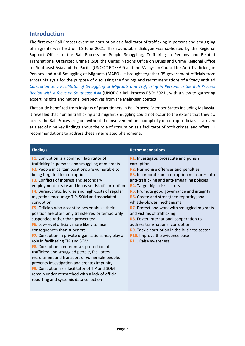# **Introduction**

The first ever Bali Process event on corruption as a facilitator of trafficking in persons and smuggling of migrants was held on 15 June 2021. This roundtable dialogue was co-hosted by the Regional Support Office to the Bali Process on People Smuggling, Trafficking in Persons and Related Transnational Organized Crime (RSO), the United Nations Office on Drugs and Crime Regional Office for Southeast Asia and the Pacific (UNODC ROSEAP) and the Malaysian Council for Anti-Trafficking in Persons and Anti-Smuggling of Migrants (MAPO). It brought together 35 government officials from across Malaysia for the purpose of discussing the findings and recommendations of a Study entitled *[Corruption as a Facilitator of Smuggling of Migrants and Trafficking in Persons in the Bali Process](https://www.baliprocess.net/regional-support-office/corruption-as-a-facilitator-of-smuggling-of-migrants-and-trafficking-in-persons/)  [Region with a focus on Southeast Asia](https://www.baliprocess.net/regional-support-office/corruption-as-a-facilitator-of-smuggling-of-migrants-and-trafficking-in-persons/)* (UNODC / Bali Process RSO; 2021), with a view to gathering expert insights and national perspectives from the Malaysian context.

That study benefited from insights of practitioners in Bali Process Member States including Malaysia. It revealed that human trafficking and migrant smuggling could not occur to the extent that they do across the Bali Process region, without the involvement and complicity of corrupt officials. It arrived at a set of nine key findings about the role of corruption as a facilitator of both crimes, and offers 11 recommendations to address these interrelated phenomena.

| <b>Findings</b>                                       | <b>Recommendations</b>                        |
|-------------------------------------------------------|-----------------------------------------------|
| F1. Corruption is a common facilitator of             | R1. Investigate, prosecute and punish         |
| trafficking in persons and smuggling of migrants      | corruption                                    |
| F2. People in certain positions are vulnerable to     | R2. Harmonise offences and penalties          |
| being targeted for corruption                         | R3. Incorporate anti-corruption measures into |
| F3. Conflicts of interest and secondary               | anti-trafficking and anti-smuggling policies  |
| employment create and increase risk of corruption     | R4. Target high-risk sectors                  |
| F4. Bureaucratic hurdles and high-costs of regular    | R5. Promote good governance and integrity     |
| migration encourage TIP, SOM and associated           | R6. Create and strengthen reporting and       |
| corruption                                            | whistle-blower mechanisms                     |
| <b>F5.</b> Officials who accept bribes or abuse their | R7. Protect and work with smuggled migrants   |
| position are often only transferred or temporarily    | and victims of trafficking                    |
| suspended rather than prosecuted                      | R8. Foster international cooperation to       |
| F6. Low-level officials more likely to face           | address transnational corruption              |
| consequences than superiors                           | R9. Tackle corruption in the business sector  |
| F7. Corruption in private organisations may play a    | R10. Improve the evidence base                |
| role in facilitating TIP and SOM                      | R11. Raise awareness                          |
| F8. Corruption compromises protection of              |                                               |
| trafficked and smuggled people, facilitates           |                                               |
| recruitment and transport of vulnerable people,       |                                               |
| prevents investigation and creates impunity           |                                               |
| F9. Corruption as a facilitator of TIP and SOM        |                                               |
| remain under-researched with a lack of official       |                                               |
| reporting and systemic data collection                |                                               |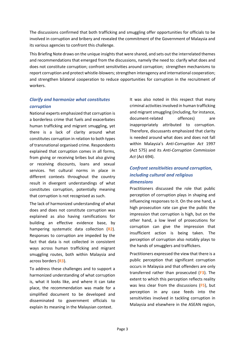The discussions confirmed that both trafficking and smuggling offer opportunities for officials to be involved in corruption and bribery and revealed the commitment of the Government of Malaysia and its various agencies to confront this challenge.

This Briefing Note draws on the unique insights that were shared, and sets out the interrelated themes and recommendations that emerged from the discussions, namely the need to: clarify what does and does not constitute corruption; confront sensitivities around corruption; strengthen mechanisms to report corruption and protect whistle-blowers; strengthen interagency and international cooperation; and strengthen bilateral cooperation to reduce opportunities for corruption in the recruitment of workers.

#### *Clarify and harmonize what constitutes corruption*

National experts emphasized that corruption is a borderless crime that fuels and exacerbates human trafficking and migrant smuggling, yet there is a lack of clarity around what constitutes corruption in relation to both types of transnational organised crime. Respondents explained that corruption comes in all forms, from giving or receiving bribes but also giving or receiving discounts, loans and sexual services. Yet cultural norms in place in different contexts throughout the country result in divergent understandings of what constitutes corruption, potentially meaning that corruption is not recognised as such.

The lack of harmonized understanding of what does and does not constitute corruption was explained as also having ramifications for building an effective evidence base, by hampering systematic data collection (**R2**). Responses to corruption are impeded by the fact that data is not collected in consistent ways across human trafficking and migrant smuggling routes, both within Malaysia and across borders (**R3**).

To address these challenges and to support a harmonized understanding of what corruption is, what it looks like, and where it can take place, the recommendation was made for a simplified document to be developed and disseminated to government officials to explain its meaning in the Malaysian context.

It was also noted in this respect that many criminal activities involved in human trafficking and migrant smuggling (including, for instance, document-related offences) are inappropriately attributed to corruption. Therefore, discussants emphasized that clarity is needed around what does and does not fall within Malaysia's *Anti-Corruption Act* 1997 (Act 575) and its *Anti-Corruption Commission Act* (Act 694).

### *Confront sensitivities around corruption, including cultural and religious dimensions*

Practitioners discussed the role that public perception of corruption plays in shaping and influencing responses to it. On the one hand, a high prosecution rate can give the public the impression that corruption is high, but on the other hand, a low level of prosecutions for corruption can give the impression that insufficient action is being taken. The perception of corruption also notably plays to the hands of smugglers and traffickers.

Practitioners expressed the view that there is a public perception that significant corruption occurs in Malaysia and that offenders are only transferred rather than prosecuted (**F3**). The extent to which this perception reflects reality was less clear from the discussions (**F5**), but perception in any case feeds into the sensitivities involved in tackling corruption in Malaysia and elsewhere in the ASEAN region,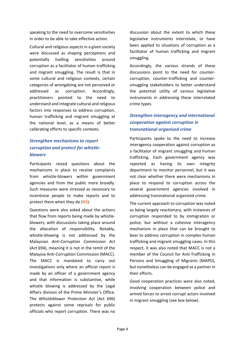speaking to the need to overcome sensitivities in order to be able to take effective action.

Cultural and religious aspects in a given society were discussed as shaping perceptions and potentially fuelling sensitivities around corruption as a facilitator of human trafficking and migrant smuggling. The result is that in some cultural and religious contexts, certain categories of wrongdoing are not perceived or addressed as corruption. Accordingly, practitioners pointed to the need to understand and integrate cultural and religious factors into responses to address corruption, human trafficking and migrant smuggling at the national level, as a means of better calibrating efforts to specific contexts.

### *Strengthen mechanisms to report corruption and protect for whistleblowers*

Participants raised questions about the mechanisms in place to receive complaints from whistle-blowers within government agencies and from the public more broadly. Such measures were stressed as necessary to incentivize people to make reports and to protect them when they do (**R6**).

Questions were also asked about the actions that flow from reports being made by whistleblowers, with discussions taking place around the allocation of responsibility. Notably, whistle-blowing is not addressed by the Malaysian *Anti-Corruption Commission Act* (Act 694), meaning it is not in the remit of the Malaysia Anti-Corruption Commission (MACC). The MACC is mandated to carry out investigations only where an official report is made by an officer of a government agency and that information is substantive, while whistle blowing is addressed by the Legal Affairs division of the Prime Minister's Office. The *Whistleblower Protection Act* (Act 696) protects against some reprisals for public officials who report corruption. There was no

discussion about the extent to which these legislative instruments interrelate, or have been applied to situations of corruption as a facilitator of human trafficking and migrant smuggling.

Accordingly, the various strands of these discussions point to the need for countercorruption, counter-trafficking and countersmuggling stakeholders to better understand the potential utility of various legislative instruments in addressing these interrelated crime types.

### *Strengthen interagency and international cooperation against corruption in transnational organised crime*

Participants spoke to the need to increase interagency cooperation against corruption as a facilitator of migrant smuggling and human trafficking. Each government agency was reported as having its own integrity department to monitor personnel, but it was not clear whether there were mechanisms in place to respond to corruption across the several government agencies involved in addressing transnational organized crime.

The current approach to corruption was noted as being largely reactionary, with instances of corruption responded to by immigration or police, but without a cohesive interagency mechanism in place that can be brought to bear to address corruption in complex human trafficking and migrant smuggling cases. In this respect, it was also noted that MACC is not a member of the Council for Anti-Trafficking in Persons and Smuggling of Migrants (MAPO), but nonetheless can be engaged as a partner in their efforts.

Good cooperation practices were also noted, involving cooperation between police and armed forces to arrest corrupt actors involved in migrant smuggling (see box below).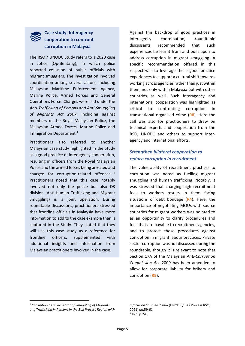#### **Case study: Interagency cooperation to confront corruption in Malaysia**

The RSO / UNODC Study refers to a 2020 case in Johor (Op-Bentang), in which police reported collusion of public officials with migrant smugglers. The investigation involved coordination among several actors, including Malaysian Maritime Enforcement Agency, Marine Police, Armed Forces and General Operations Force. Charges were laid under the *Anti-Trafficking of Persons and Anti-Smuggling of Migrants Act 2007,* including against members of the Royal Malaysian Police, the Malaysian Armed Forces, Marine Police and Immigration Department*.* 1

Practitioners also referred to another Malaysian case study highlighted in the Study as a good practice of interagency cooperation, resulting in officers from the Royal Malaysian Police and the armed forces being arrested and charged for corruption-related offences.<sup>2</sup> Practitioners noted that this case notably involved not only the police but also D3 division (Anti-Human Trafficking and Migrant Smuggling) in a joint operation. During roundtable discussions, practitioners stressed that frontline officials in Malaysia have more information to add to the case example than is captured in the Study. They stated that they will use this case study as a reference for frontline officers, supplemented with additional insights and information from Malaysian practitioners involved in the case.

Against this backdrop of good practices in interagency coordination, roundtable discussants recommended that such experiences be learnt from and built upon to address corruption in migrant smuggling. A specific recommendation offered in this respect was to leverage these good practice experiences to support a cultural shift towards working across agencies rather than just within them, not only within Malaysia but with other countries as well. Such interagency and international cooperation was highlighted as critical to confronting corruption in transnational organised crime (**R8**). Here the call was also for practitioners to draw on technical experts and cooperation from the RSO, UNODC and others to support interagency and international efforts.

#### *Strengthen bilateral cooperation to reduce corruption in recruitment*

The vulnerability of recruitment practices to corruption was noted as fuelling migrant smuggling and human trafficking. Notably, it was stressed that charging high recruitment fees to workers results in them facing situations of debt bondage (**R4**). Here, the importance of negotiating MOUs with source countries for migrant workers was pointed to as an opportunity to clarify procedures and fees that are payable to recruitment agencies, and to protect those procedures against corruption in migrant labour practices. Private sector corruption was not discussed during the roundtable, though it is relevant to note that Section 17A of the Malaysian *Anti-Corruption Commission Act* 2009 has been amended to allow for corporate liability for bribery and corruption (**R9**).

<sup>1</sup> *Corruption as a Facilitator of Smuggling of Migrants and Trafficking in Persons in the Bali Process Region with* 

*a focus on Southeast Asia* (UNODC / Bali Process RSO; 2021) pp.59-61. 2 Ibid, p.24.